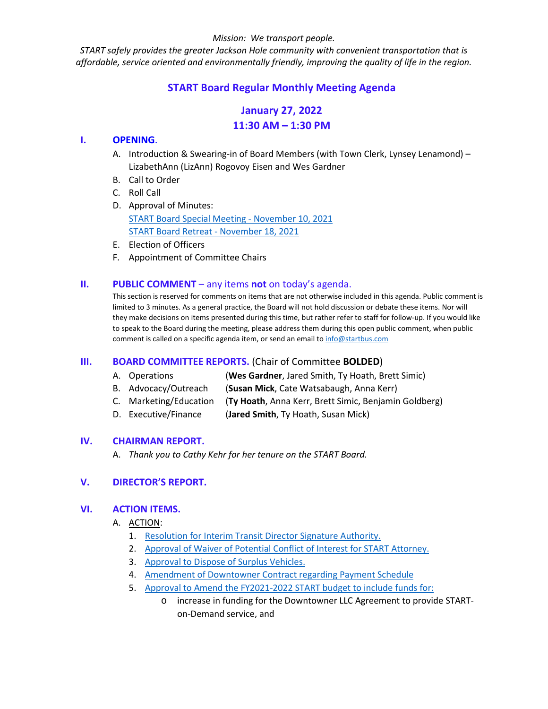#### *Mission: We transport people.*

*START safely provides the greater Jackson Hole community with convenient transportation that is affordable, service oriented and environmentally friendly, improving the quality of life in the region.*

# **START Board Regular Monthly Meeting Agenda**

# **January 27, 2022 11:30 AM – 1:30 PM**

#### **I. OPENING**.

- A. Introduction & Swearing-in of Board Members (with Town Clerk, Lynsey Lenamond) LizabethAnn (LizAnn) Rogovoy Eisen and Wes Gardner
- B. Call to Order
- C. Roll Call
- D. Approval of Minutes: [START Board Special Meeting -](https://www.jacksonwy.gov/DocumentCenter/View/5478/20211110STARTBdMinutes_draft) [November 10, 2021](https://www.jacksonwy.gov/DocumentCenter/View/5478/20211110STARTBdMinutes_draft) [START Board Retreat -](https://www.jacksonwy.gov/DocumentCenter/View/5539/20211118STARTBrdRetreatMinutes_FINAL) November 18, 2021
- E. Election of Officers
- F. Appointment of Committee Chairs

#### **II. PUBLIC COMMENT** – any items **not** on today's agenda.

This section is reserved for comments on items that are not otherwise included in this agenda. Public comment is limited to 3 minutes. As a general practice, the Board will not hold discussion or debate these items. Nor will they make decisions on items presented during this time, but rather refer to staff for follow-up. If you would like to speak to the Board during the meeting, please address them during this open public comment, when public comment is called on a specific agenda item, or send an email to [info@startbus.com](mailto:info@startbus.com)

# **III. BOARD COMMITTEE REPORTS.** (Chair of Committee **BOLDED**)

- A. Operations (**Wes Gardner**, Jared Smith, Ty Hoath, Brett Simic)
- B. Advocacy/Outreach (**Susan Mick**, Cate Watsabaugh, Anna Kerr)
- C. Marketing/Education (**Ty Hoath**, Anna Kerr, Brett Simic, Benjamin Goldberg)
- D. Executive/Finance (**Jared Smith**, Ty Hoath, Susan Mick)

#### **IV. CHAIRMAN REPORT.**

A. *Thank you to Cathy Kehr for her tenure on the START Board.*

# **V. DIRECTOR'S REPORT.**

#### **VI. ACTION ITEMS.**

- A. ACTION:
	- 1. [Resolution for Interim Transit Director](https://www.jacksonwy.gov/DocumentCenter/View/5527/211223ResoltuionAuthorizingTDGrantAppExecution) Signature Authorit[y.](https://www.jacksonwy.gov/DocumentCenter/View/5527/211223ResoltuionAuthorizingTDGrantAppExecution)
	- 2. [Approval of Waiver of Potential Conflict of Interest for START Attorney.](https://www.jacksonwy.gov/DocumentCenter/View/5526/211230STARTInformedConsentLetter)
	- 3. [Approval to Dispose](https://www.jacksonwy.gov/DocumentCenter/View/5600/20220127StaffReport_STARTBusFleetDisposal) of Surplus Vehicle[s.](https://www.jacksonwy.gov/DocumentCenter/View/5600/20220127StaffReport_STARTBusFleetDisposal)
	- 4. [Amendment of Downtowner Contract regarding Payment Schedule](https://www.jacksonwy.gov/DocumentCenter/View/5594/20220127Staff-Report_FirstAmendmentDowntowner)
	- 5. [Approval to Amend the FY2021-2022 START budget to include funds for:](https://www.jacksonwy.gov/DocumentCenter/View/5597/START_Board-Mtg-Staff-Report---fy2021-2022-buget-amendment)
		- o increase in funding for the Downtowner LLC Agreement to provide STARTon-Demand service, and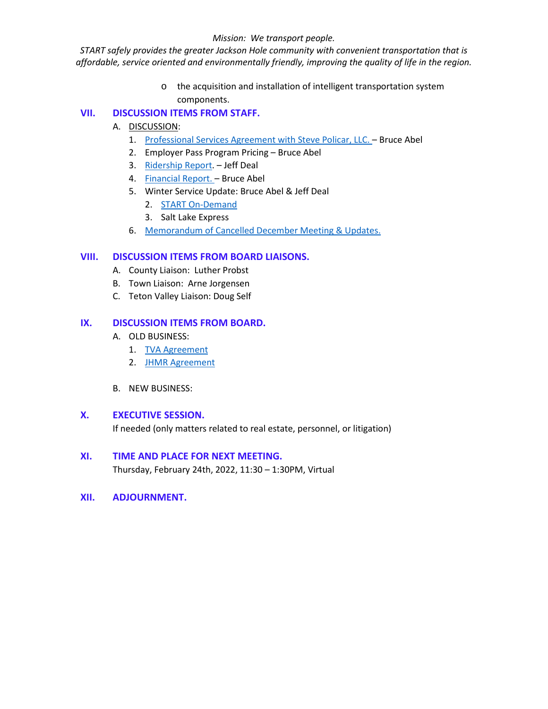#### *Mission: We transport people.*

*START safely provides the greater Jackson Hole community with convenient transportation that is affordable, service oriented and environmentally friendly, improving the quality of life in the region.*

> o the acquisition and installation of intelligent transportation system components.

# **VII. DISCUSSION ITEMS FROM STAFF.**

- A. DISCUSSION:
	- 1. [Professional Services Agreement with Steve Policar, LLC.](https://www.jacksonwy.gov/DocumentCenter/View/5599/JACKSON-HOLE-FLEET-PROCUREMENT-SUPPORT-quote-10jan2021) Bruce Abel
	- 2. Employer Pass Program Pricing Bruce Abel
	- 3. [Ridership Report.](https://www.jacksonwy.gov/DocumentCenter/View/5592/Ridership_december2021) Jeff Deal
	- 4. [Financial Report.](https://www.jacksonwy.gov/DocumentCenter/View/5538/20211231START-FY2022_FinReport) Bruce Abel
	- 5. Winter Service Update: Bruce Abel & Jeff Deal
		- 2. [START On-Demand](https://www.jacksonwy.gov/DocumentCenter/View/5593/20220125STARTOn-Demand_December2021data)
		- 3. Salt Lake Express
	- 6. [Memorandum of Cancelled December Meeting & Updates.](https://www.jacksonwy.gov/DocumentCenter/View/5530/20211220BrdReportMemorandum_final)

# **VIII. DISCUSSION ITEMS FROM BOARD LIAISONS.**

- A. County Liaison: Luther Probst
- B. Town Liaison: Arne Jorgensen
- C. Teton Valley Liaison: Doug Self

# **IX. DISCUSSION ITEMS FROM BOARD.**

- A. OLD BUSINESS:
	- 1. [TVA](https://www.jacksonwy.gov/DocumentCenter/View/5536/2022STARTBus_TVAAgreement) [Agreement](https://www.jacksonwy.gov/DocumentCenter/View/5536/2022STARTBus_TVAAgreement)
	- 2. [JHMR Agreement](https://www.jacksonwy.gov/DocumentCenter/View/5537/2022STARTBus_JHMRAgreement)
- B. NEW BUSINESS:

# **X. EXECUTIVE SESSION.**

If needed (only matters related to real estate, personnel, or litigation)

# **XI. TIME AND PLACE FOR NEXT MEETING.**

Thursday, February 24th, 2022, 11:30 – 1:30PM, Virtual

**XII. ADJOURNMENT.**